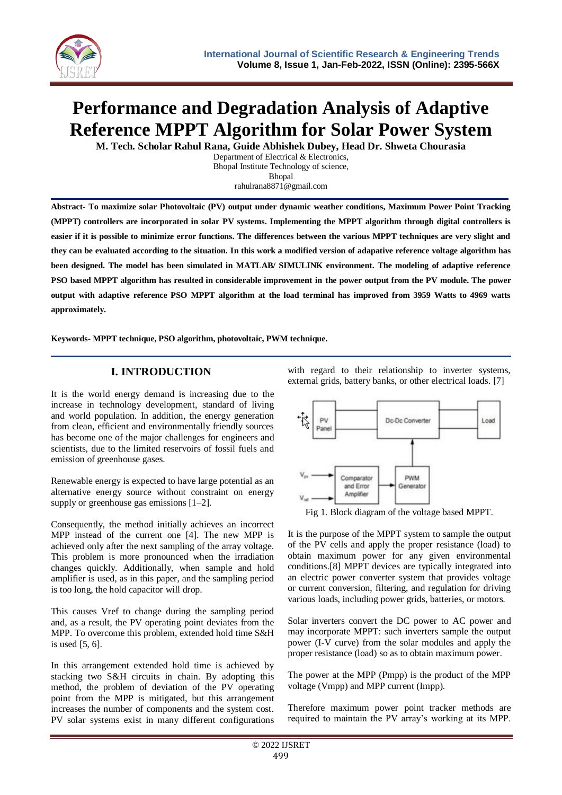

# **Performance and Degradation Analysis of Adaptive Reference MPPT Algorithm for Solar Power System**

**M. Tech. Scholar Rahul Rana, Guide Abhishek Dubey, Head Dr. Shweta Chourasia**

Department of Electrical & Electronics, Bhopal Institute Technology of science, Bhopal rahulrana8871@gmail.com

**Abstract- To maximize solar Photovoltaic (PV) output under dynamic weather conditions, Maximum Power Point Tracking (MPPT) controllers are incorporated in solar PV systems. Implementing the MPPT algorithm through digital controllers is easier if it is possible to minimize error functions. The differences between the various MPPT techniques are very slight and they can be evaluated according to the situation. In this work a modified version of adapative reference voltage algorithm has been designed. The model has been simulated in MATLAB/ SIMULINK environment. The modeling of adaptive reference PSO based MPPT algorithm has resulted in considerable improvement in the power output from the PV module. The power output with adaptive reference PSO MPPT algorithm at the load terminal has improved from 3959 Watts to 4969 watts approximately.**

**Keywords- MPPT technique, PSO algorithm, photovoltaic, PWM technique.**

# **I. INTRODUCTION**

It is the world energy demand is increasing due to the increase in technology development, standard of living and world population. In addition, the energy generation from clean, efficient and environmentally friendly sources has become one of the major challenges for engineers and scientists, due to the limited reservoirs of fossil fuels and emission of greenhouse gases.

Renewable energy is expected to have large potential as an alternative energy source without constraint on energy supply or greenhouse gas emissions [1–2].

Consequently, the method initially achieves an incorrect MPP instead of the current one [4]. The new MPP is achieved only after the next sampling of the array voltage. This problem is more pronounced when the irradiation changes quickly. Additionally, when sample and hold amplifier is used, as in this paper, and the sampling period is too long, the hold capacitor will drop.

This causes Vref to change during the sampling period and, as a result, the PV operating point deviates from the MPP. To overcome this problem, extended hold time S&H is used [5, 6].

In this arrangement extended hold time is achieved by stacking two S&H circuits in chain. By adopting this method, the problem of deviation of the PV operating point from the MPP is mitigated, but this arrangement increases the number of components and the system cost. PV solar systems exist in many different configurations

with regard to their relationship to inverter systems, external grids, battery banks, or other electrical loads. [7]



Fig 1. Block diagram of the voltage based MPPT.

It is the purpose of the MPPT system to sample the output of the PV cells and apply the proper resistance (load) to obtain maximum power for any given environmental conditions.[8] MPPT devices are typically integrated into an electric power converter system that provides voltage or current conversion, filtering, and regulation for driving various loads, including power grids, batteries, or motors.

Solar inverters convert the DC power to AC power and may incorporate MPPT: such inverters sample the output power (I-V curve) from the solar modules and apply the proper resistance (load) so as to obtain maximum power.

The power at the MPP (Pmpp) is the product of the MPP voltage (Vmpp) and MPP current (Impp).

Therefore maximum power point tracker methods are required to maintain the PV array's working at its MPP.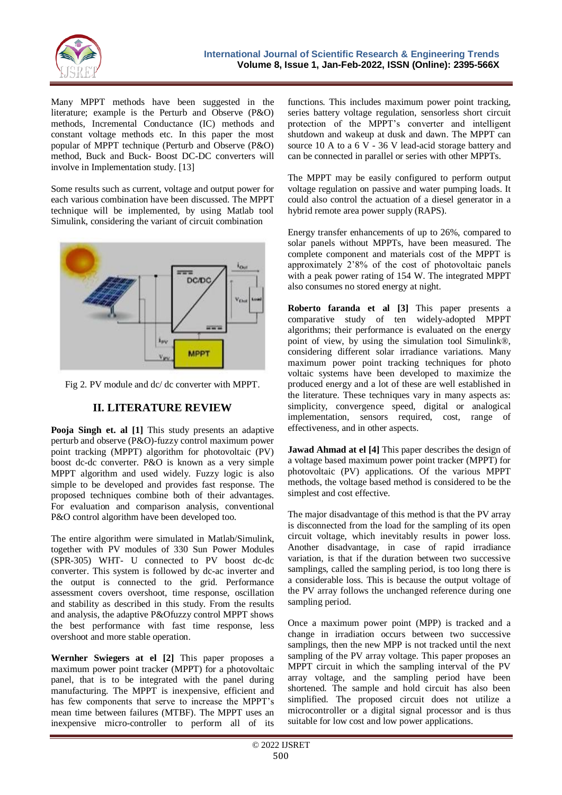

Many MPPT methods have been suggested in the literature; example is the Perturb and Observe (P&O) methods, Incremental Conductance (IC) methods and constant voltage methods etc. In this paper the most popular of MPPT technique (Perturb and Observe (P&O) method, Buck and Buck- Boost DC-DC converters will involve in Implementation study. [13]

Some results such as current, voltage and output power for each various combination have been discussed. The MPPT technique will be implemented, by using Matlab tool Simulink, considering the variant of circuit combination



Fig 2. PV module and dc/ dc converter with MPPT.

# **II. LITERATURE REVIEW**

**Pooja Singh et. al [1]** This study presents an adaptive perturb and observe (P&O)-fuzzy control maximum power point tracking (MPPT) algorithm for photovoltaic (PV) boost dc-dc converter. P&O is known as a very simple MPPT algorithm and used widely. Fuzzy logic is also simple to be developed and provides fast response. The proposed techniques combine both of their advantages. For evaluation and comparison analysis, conventional P&O control algorithm have been developed too.

The entire algorithm were simulated in Matlab/Simulink, together with PV modules of 330 Sun Power Modules (SPR-305) WHT- U connected to PV boost dc-dc converter. This system is followed by dc-ac inverter and the output is connected to the grid. Performance assessment covers overshoot, time response, oscillation and stability as described in this study. From the results and analysis, the adaptive P&Ofuzzy control MPPT shows the best performance with fast time response, less overshoot and more stable operation.

**Wernher Swiegers at el [2]** This paper proposes a maximum power point tracker (MPPT) for a photovoltaic panel, that is to be integrated with the panel during manufacturing. The MPPT is inexpensive, efficient and has few components that serve to increase the MPPT's mean time between failures (MTBF). The MPPT uses an inexpensive micro-controller to perform all of its

functions. This includes maximum power point tracking, series battery voltage regulation, sensorless short circuit protection of the MPPT"s converter and intelligent shutdown and wakeup at dusk and dawn. The MPPT can source 10 A to a 6 V - 36 V lead-acid storage battery and can be connected in parallel or series with other MPPTs.

The MPPT may be easily configured to perform output voltage regulation on passive and water pumping loads. It could also control the actuation of a diesel generator in a hybrid remote area power supply (RAPS).

Energy transfer enhancements of up to 26%, compared to solar panels without MPPTs, have been measured. The complete component and materials cost of the MPPT is approximately 2"8% of the cost of photovoltaic panels with a peak power rating of 154 W. The integrated MPPT also consumes no stored energy at night.

**Roberto faranda et al [3]** This paper presents a comparative study of ten widely-adopted MPPT algorithms; their performance is evaluated on the energy point of view, by using the simulation tool Simulink®, considering different solar irradiance variations. Many maximum power point tracking techniques for photo voltaic systems have been developed to maximize the produced energy and a lot of these are well established in the literature. These techniques vary in many aspects as: simplicity, convergence speed, digital or analogical implementation, sensors required, cost, range of effectiveness, and in other aspects.

**Jawad Ahmad at el [4]** This paper describes the design of a voltage based maximum power point tracker (MPPT) for photovoltaic (PV) applications. Of the various MPPT methods, the voltage based method is considered to be the simplest and cost effective.

The major disadvantage of this method is that the PV array is disconnected from the load for the sampling of its open circuit voltage, which inevitably results in power loss. Another disadvantage, in case of rapid irradiance variation, is that if the duration between two successive samplings, called the sampling period, is too long there is a considerable loss. This is because the output voltage of the PV array follows the unchanged reference during one sampling period.

Once a maximum power point (MPP) is tracked and a change in irradiation occurs between two successive samplings, then the new MPP is not tracked until the next sampling of the PV array voltage. This paper proposes an MPPT circuit in which the sampling interval of the PV array voltage, and the sampling period have been shortened. The sample and hold circuit has also been simplified. The proposed circuit does not utilize a microcontroller or a digital signal processor and is thus suitable for low cost and low power applications.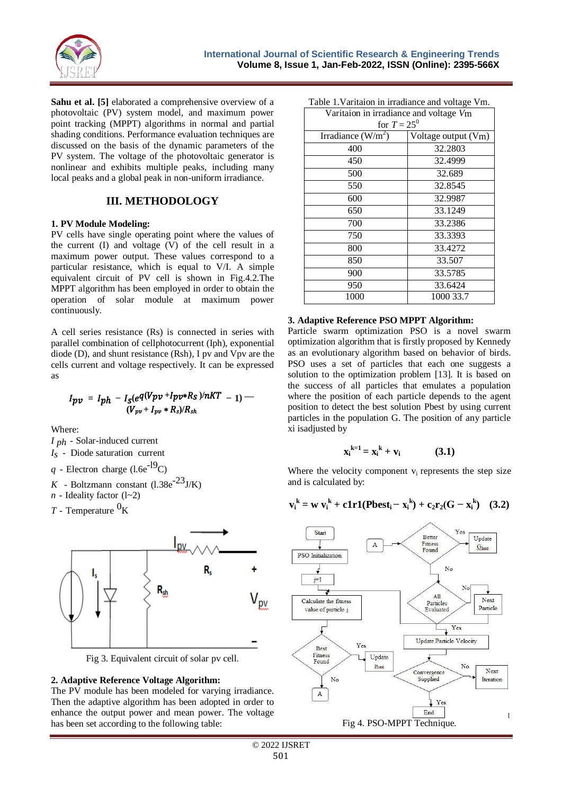

**Sahu et al.** [5] elaborated a comprehensive overview of a photovoltaic (PV) system model, and maximum power point tracking (MPPT) algorithms in normal and partial shading conditions. Performance evaluation techniques are discussed on the basis of the dynamic parameters of the PV system. The voltage of the photovoltaic generator is nonlinear and exhibits multiple peaks, including many local peaks and a global peak in non-uniform irradiance.

# **III. METHODOLOGY**

#### **1. PV Module Modeling:**

PV cells have single operating point where the values of the current (I) and voltage (V) of the cell result in a maximum power output. These values correspond to a particular resistance, which is equal to V/I. A simple equivalent circuit of PV cell is shown in Fig.4.2.The MPPT algorithm has been employed in order to obtain the operation of solar module at maximum power continuously.

A cell series resistance (Rs) is connected in series with parallel combination of cellphotocurrent (Iph), exponential diode (D), and shunt resistance (Rsh), I pv and Vpv are the cells current and voltage respectively. It can be expressed as

$$
I_{pv} = I_{ph} - I_{S}(e^{q(V_{pv} + I_{pv} * R_{S})/nKT} - 1) -
$$
  

$$
(V_{pv} + I_{pv} * R_{S})/R_{sh}
$$

Where:

- *I ph* Solar-induced current
- *Is* Diode saturation current
- $q$  Electron charge (l.6e<sup>-19</sup>C)
- *K* Boltzmann constant  $(1.38e^{-23}J/K)$
- $n$  Ideality factor (1~2)
- *T* Temperature  ${}^{0}$ K



Fig 3. Equivalent circuit of solar pv cell.

## **2. Adaptive Reference Voltage Algorithm:**

The PV module has been modeled for varying irradiance. Then the adaptive algorithm has been adopted in order to enhance the output power and mean power. The voltage has been set according to the following table:

|  |  |  | Table 1. Varitaion in irradiance and voltage Vm.                                                               |  |  |
|--|--|--|----------------------------------------------------------------------------------------------------------------|--|--|
|  |  |  | the contract of the contract of the contract of the contract of the contract of the contract of the contract o |  |  |

| Varitaion in irradiance and voltage Vm |                       |  |  |  |  |  |  |
|----------------------------------------|-----------------------|--|--|--|--|--|--|
| for $T = 25^0$                         |                       |  |  |  |  |  |  |
| Irradiance $(W/m^2)$                   | Voltage output $(Vm)$ |  |  |  |  |  |  |
| 400                                    | 32.2803               |  |  |  |  |  |  |
| 450                                    | 32.4999               |  |  |  |  |  |  |
| 500                                    | 32.689                |  |  |  |  |  |  |
| 550                                    | 32.8545               |  |  |  |  |  |  |
| 600                                    | 32.9987               |  |  |  |  |  |  |
| 650                                    | 33.1249               |  |  |  |  |  |  |
| 700                                    | 33.2386               |  |  |  |  |  |  |
| 750                                    | 33.3393               |  |  |  |  |  |  |
| 800                                    | 33.4272               |  |  |  |  |  |  |
| 850                                    | 33.507                |  |  |  |  |  |  |
| 900                                    | 33.5785               |  |  |  |  |  |  |
| 950                                    | 33.6424               |  |  |  |  |  |  |
| 1000                                   | 1000 33.7             |  |  |  |  |  |  |

#### **3. Adaptive Reference PSO MPPT Algorithm:**

Particle swarm optimization PSO is a novel swarm optimization algorithm that is firstly proposed by Kennedy as an evolutionary algorithm based on behavior of birds. PSO uses a set of particles that each one suggests a solution to the optimization problem [13]. It is based on the success of all particles that emulates a population where the position of each particle depends to the agent position to detect the best solution Pbest by using current particles in the population G. The position of any particle xi isadjusted by

$$
x_i^{k=1} = x_i^k + v_i \tag{3.1}
$$

Where the velocity component  $v_i$  represents the step size and is calculated by:

$$
v_i^k = w v_i^k + c1r1(Pbest_i - x_i^k) + c_2r_2(G - x_i^k) \quad (3.2)
$$

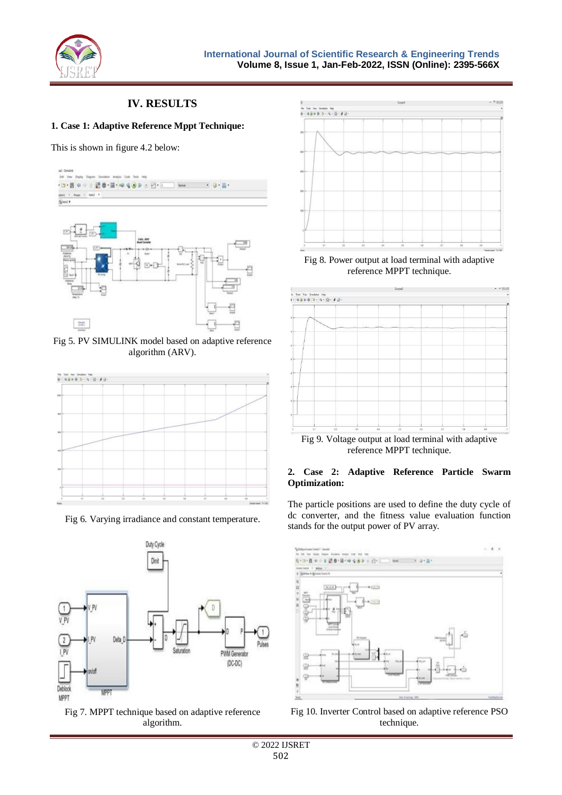

# **IV. RESULTS**

#### **1. Case 1: Adaptive Reference Mppt Technique:**

This is shown in figure 4.2 below:



Fig 5. PV SIMULINK model based on adaptive reference algorithm (ARV).



Fig 6. Varying irradiance and constant temperature.



Fig 7. MPPT technique based on adaptive reference algorithm.



Fig 8. Power output at load terminal with adaptive reference MPPT technique.



Fig 9. Voltage output at load terminal with adaptive reference MPPT technique.

#### **2. Case 2: Adaptive Reference Particle Swarm Optimization:**

The particle positions are used to define the duty cycle of dc converter, and the fitness value evaluation function stands for the output power of PV array.



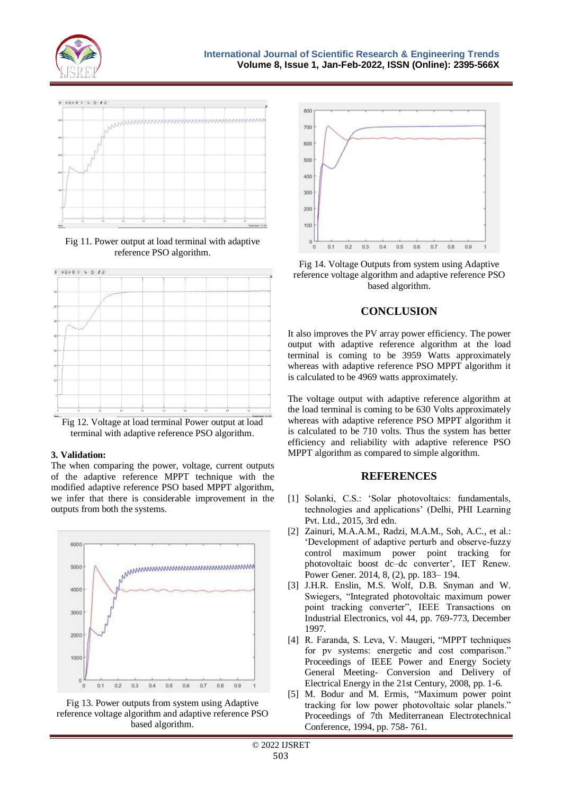



Fig 11. Power output at load terminal with adaptive reference PSO algorithm.



Fig 12. Voltage at load terminal Power output at load terminal with adaptive reference PSO algorithm.

## **3. Validation:**

The when comparing the power, voltage, current outputs of the adaptive reference MPPT technique with the modified adaptive reference PSO based MPPT algorithm, we infer that there is considerable improvement in the outputs from both the systems.









## **CONCLUSION**

It also improves the PV array power efficiency. The power output with adaptive reference algorithm at the load terminal is coming to be 3959 Watts approximately whereas with adaptive reference PSO MPPT algorithm it is calculated to be 4969 watts approximately.

The voltage output with adaptive reference algorithm at the load terminal is coming to be 630 Volts approximately whereas with adaptive reference PSO MPPT algorithm it is calculated to be 710 volts. Thus the system has better efficiency and reliability with adaptive reference PSO MPPT algorithm as compared to simple algorithm.

## **REFERENCES**

- [1] Solanki, C.S.: "Solar photovoltaics: fundamentals, technologies and applications" (Delhi, PHI Learning Pvt. Ltd., 2015, 3rd edn.
- [2] Zainuri, M.A.A.M., Radzi, M.A.M., Soh, A.C., et al.: "Development of adaptive perturb and observe-fuzzy control maximum power point tracking for photovoltaic boost dc–dc converter", IET Renew. Power Gener. 2014, 8, (2), pp. 183– 194.
- [3] J.H.R. Enslin, M.S. Wolf, D.B. Snyman and W. Swiegers, "Integrated photovoltaic maximum power point tracking converter", IEEE Transactions on Industrial Electronics, vol 44, pp. 769-773, December 1997.
- [4] R. Faranda, S. Leva, V. Maugeri, "MPPT techniques for pv systems: energetic and cost comparison." Proceedings of IEEE Power and Energy Society General Meeting- Conversion and Delivery of Electrical Energy in the 21st Century, 2008, pp. 1-6.
- [5] M. Bodur and M. Ermis, "Maximum power point tracking for low power photovoltaic solar planels." Proceedings of 7th Mediterranean Electrotechnical Conference, 1994, pp. 758- 761.